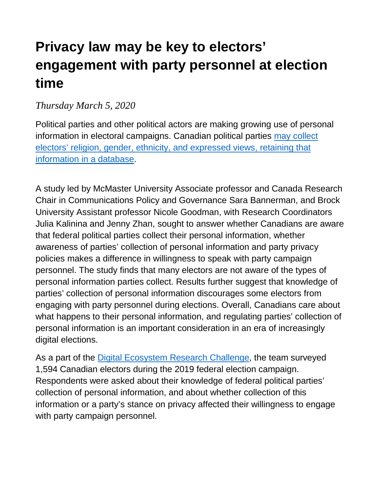# **Privacy law may be key to electors' engagement with party personnel at election time**

#### *Thursday March 5, 2020*

Political parties and other political actors are making growing use of personal information in electoral campaigns. Canadian political parties may collect electors' religion, gender, ethnicity, and expressed views, retaining that information in a database.

A study led by McMaster University Associate professor and Canada Research Chair in Communications Policy and Governance Sara Bannerman, and Brock University Assistant professor Nicole Goodman, with Research Coordinators Julia Kalinina and Jenny Zhan, sought to answer whether Canadians are aware that federal political parties collect their personal information, whether awareness of parties' collection of personal information and party privacy policies makes a difference in willingness to speak with party campaign personnel. The study finds that many electors are not aware of the types of personal information parties collect. Results further suggest that knowledge of parties' collection of personal information discourages some electors from engaging with party personnel during elections. Overall, Canadians care about what happens to their personal information, and regulating parties' collection of personal information is an important consideration in an era of increasingly digital elections.

As a part of the Digital Ecosystem Research Challenge, the team surveyed 1,594 Canadian electors during the 2019 federal election campaign. Respondents were asked about their knowledge of federal political parties' collection of personal information, and about whether collection of this information or a party's stance on privacy affected their willingness to engage with party campaign personnel.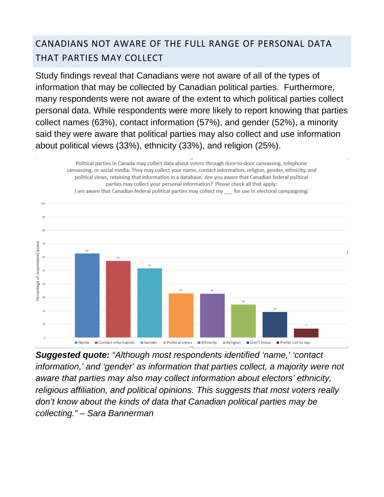## CANADIANS NOT AWARE OF THE FULL RANGE OF PERSONAL DATA THAT PARTIES MAY COLLECT

Study findings reveal that Canadians were not aware of all of the types of information that may be collected by Canadian political parties. Furthermore, many respondents were not aware of the extent to which political parties collect personal data. While respondents were more likely to report knowing that parties collect names (63%), contact information (57%), and gender (52%), a minority said they were aware that political parties may also collect and use information about political views (33%), ethnicity (33%), and religion (25%).

Political parties in Canada may collect data about voters through door-to-door canvassing, telephone

canvassing, or social media. They may collect your name, contact information, religion, gender, ethnicity, and political views, retaining that information in a database. Are you aware that Canadian federal political parties may collect your personal information? Please check all that apply: I am aware that Canadian federal political parties may collect my for use in electoral campaigning: respondants aware 63 52 Percentage of  $\overline{33}$ 33 19 ■ Contact information ■ Gender ■ Political views ■ Ethnicity ■ Religion ■ Don't know ■ Name Prefer not to say

*Suggested quote: "Although most respondents identified 'name,' 'contact information,' and 'gender' as information that parties collect, a majority were not aware that parties may also may collect information about electors' ethnicity, religious affiliation, and political opinions. This suggests that most voters really don't know about the kinds of data that Canadian political parties may be collecting." – Sara Bannerman*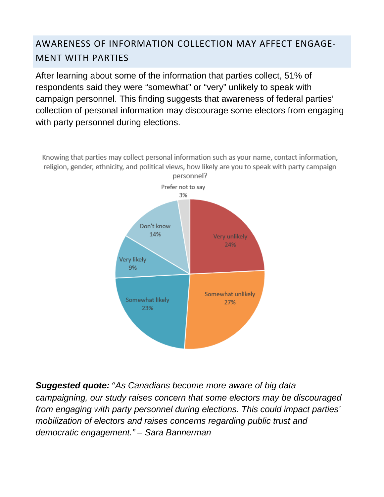## AWARENESS OF INFORMATION COLLECTION MAY AFFECT ENGAGE-MENT WITH PARTIES

After learning about some of the information that parties collect, 51% of respondents said they were "somewhat" or "very" unlikely to speak with campaign personnel. This finding suggests that awareness of federal parties' collection of personal information may discourage some electors from engaging with party personnel during elections.

Knowing that parties may collect personal information such as your name, contact information, religion, gender, ethnicity, and political views, how likely are you to speak with party campaign personnel?



*Suggested quote:* "*As Canadians become more aware of big data campaigning, our study raises concern that some electors may be discouraged from engaging with party personnel during elections. This could impact parties' mobilization of electors and raises concerns regarding public trust and democratic engagement." – Sara Bannerman*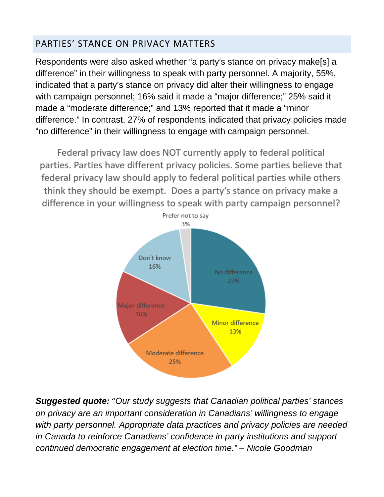#### PARTIES' STANCE ON PRIVACY MATTERS

Respondents were also asked whether "a party's stance on privacy make[s] a difference" in their willingness to speak with party personnel. A majority, 55%, indicated that a party's stance on privacy did alter their willingness to engage with campaign personnel; 16% said it made a "major difference;" 25% said it made a "moderate difference;" and 13% reported that it made a "minor difference." In contrast, 27% of respondents indicated that privacy policies made "no difference" in their willingness to engage with campaign personnel.

Federal privacy law does NOT currently apply to federal political parties. Parties have different privacy policies. Some parties believe that federal privacy law should apply to federal political parties while others think they should be exempt. Does a party's stance on privacy make a difference in your willingness to speak with party campaign personnel?



*Suggested quote:* "*Our study suggests that Canadian political parties' stances on privacy are an important consideration in Canadians' willingness to engage with party personnel. Appropriate data practices and privacy policies are needed in Canada to reinforce Canadians' confidence in party institutions and support continued democratic engagement at election time." – Nicole Goodman*